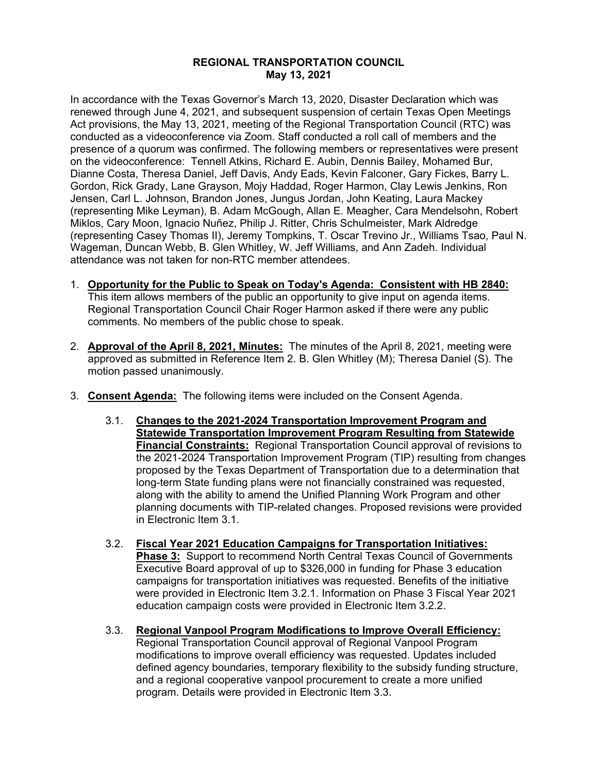## **REGIONAL TRANSPORTATION COUNCIL May 13, 2021**

In accordance with the Texas Governor's March 13, 2020, Disaster Declaration which was renewed through June 4, 2021, and subsequent suspension of certain Texas Open Meetings Act provisions, the May 13, 2021, meeting of the Regional Transportation Council (RTC) was conducted as a videoconference via Zoom. Staff conducted a roll call of members and the presence of a quorum was confirmed. The following members or representatives were present on the videoconference: Tennell Atkins, Richard E. Aubin, Dennis Bailey, Mohamed Bur, Dianne Costa, Theresa Daniel, Jeff Davis, Andy Eads, Kevin Falconer, Gary Fickes, Barry L. Gordon, Rick Grady, Lane Grayson, Mojy Haddad, Roger Harmon, Clay Lewis Jenkins, Ron Jensen, Carl L. Johnson, Brandon Jones, Jungus Jordan, John Keating, Laura Mackey (representing Mike Leyman), B. Adam McGough, Allan E. Meagher, Cara Mendelsohn, Robert Miklos, Cary Moon, Ignacio Nuñez, Philip J. Ritter, Chris Schulmeister, Mark Aldredge (representing Casey Thomas II), Jeremy Tompkins, T. Oscar Trevino Jr., Williams Tsao, Paul N. Wageman, Duncan Webb, B. Glen Whitley, W. Jeff Williams, and Ann Zadeh. Individual attendance was not taken for non-RTC member attendees.

- 1. **Opportunity for the Public to Speak on Today's Agenda: Consistent with HB 2840:** This item allows members of the public an opportunity to give input on agenda items. Regional Transportation Council Chair Roger Harmon asked if there were any public comments. No members of the public chose to speak.
- 2. **Approval of the April 8, 2021, Minutes:** The minutes of the April 8, 2021, meeting were approved as submitted in Reference Item 2. B. Glen Whitley (M); Theresa Daniel (S). The motion passed unanimously.
- 3. **Consent Agenda:** The following items were included on the Consent Agenda.
	- 3.1. **Changes to the 2021-2024 Transportation Improvement Program and Statewide Transportation Improvement Program Resulting from Statewide Financial Constraints:** Regional Transportation Council approval of revisions to the 2021-2024 Transportation Improvement Program (TIP) resulting from changes proposed by the Texas Department of Transportation due to a determination that long-term State funding plans were not financially constrained was requested, along with the ability to amend the Unified Planning Work Program and other planning documents with TIP-related changes. Proposed revisions were provided in Electronic Item 3.1.
	- 3.2. **Fiscal Year 2021 Education Campaigns for Transportation Initiatives: Phase 3:** Support to recommend North Central Texas Council of Governments Executive Board approval of up to \$326,000 in funding for Phase 3 education campaigns for transportation initiatives was requested. Benefits of the initiative were provided in Electronic Item 3.2.1. Information on Phase 3 Fiscal Year 2021 education campaign costs were provided in Electronic Item 3.2.2.
	- 3.3. **Regional Vanpool Program Modifications to Improve Overall Efficiency:** Regional Transportation Council approval of Regional Vanpool Program modifications to improve overall efficiency was requested. Updates included defined agency boundaries, temporary flexibility to the subsidy funding structure, and a regional cooperative vanpool procurement to create a more unified program. Details were provided in Electronic Item 3.3.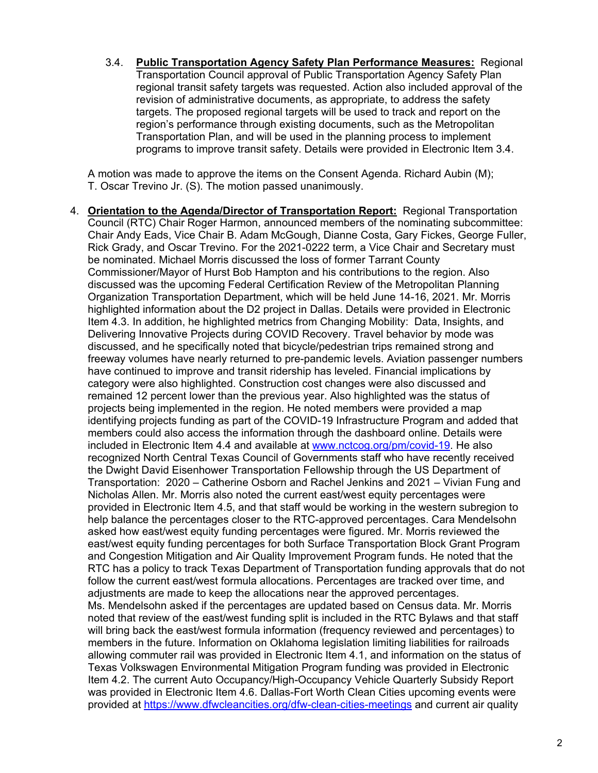3.4. **Public Transportation Agency Safety Plan Performance Measures:** Regional Transportation Council approval of Public Transportation Agency Safety Plan regional transit safety targets was requested. Action also included approval of the revision of administrative documents, as appropriate, to address the safety targets. The proposed regional targets will be used to track and report on the region's performance through existing documents, such as the Metropolitan Transportation Plan, and will be used in the planning process to implement programs to improve transit safety. Details were provided in Electronic Item 3.4.

A motion was made to approve the items on the Consent Agenda. Richard Aubin (M); T. Oscar Trevino Jr. (S). The motion passed unanimously.

4. **Orientation to the Agenda/Director of Transportation Report:** Regional Transportation Council (RTC) Chair Roger Harmon, announced members of the nominating subcommittee: Chair Andy Eads, Vice Chair B. Adam McGough, Dianne Costa, Gary Fickes, George Fuller, Rick Grady, and Oscar Trevino. For the 2021-0222 term, a Vice Chair and Secretary must be nominated. Michael Morris discussed the loss of former Tarrant County Commissioner/Mayor of Hurst Bob Hampton and his contributions to the region. Also discussed was the upcoming Federal Certification Review of the Metropolitan Planning Organization Transportation Department, which will be held June 14-16, 2021. Mr. Morris highlighted information about the D2 project in Dallas. Details were provided in Electronic Item 4.3. In addition, he highlighted metrics from Changing Mobility: Data, Insights, and Delivering Innovative Projects during COVID Recovery. Travel behavior by mode was discussed, and he specifically noted that bicycle/pedestrian trips remained strong and freeway volumes have nearly returned to pre-pandemic levels. Aviation passenger numbers have continued to improve and transit ridership has leveled. Financial implications by category were also highlighted. Construction cost changes were also discussed and remained 12 percent lower than the previous year. Also highlighted was the status of projects being implemented in the region. He noted members were provided a map identifying projects funding as part of the COVID-19 Infrastructure Program and added that members could also access the information through the dashboard online. Details were included in Electronic Item 4.4 and available at [www.nctcog.org/pm/covid-19.](http://www.nctcog.org/pm/covid-19) He also recognized North Central Texas Council of Governments staff who have recently received the Dwight David Eisenhower Transportation Fellowship through the US Department of Transportation: 2020 – Catherine Osborn and Rachel Jenkins and 2021 – Vivian Fung and Nicholas Allen. Mr. Morris also noted the current east/west equity percentages were provided in Electronic Item 4.5, and that staff would be working in the western subregion to help balance the percentages closer to the RTC-approved percentages. Cara Mendelsohn asked how east/west equity funding percentages were figured. Mr. Morris reviewed the east/west equity funding percentages for both Surface Transportation Block Grant Program and Congestion Mitigation and Air Quality Improvement Program funds. He noted that the RTC has a policy to track Texas Department of Transportation funding approvals that do not follow the current east/west formula allocations. Percentages are tracked over time, and adjustments are made to keep the allocations near the approved percentages. Ms. Mendelsohn asked if the percentages are updated based on Census data. Mr. Morris noted that review of the east/west funding split is included in the RTC Bylaws and that staff will bring back the east/west formula information (frequency reviewed and percentages) to members in the future. Information on Oklahoma legislation limiting liabilities for railroads allowing commuter rail was provided in Electronic Item 4.1, and information on the status of Texas Volkswagen Environmental Mitigation Program funding was provided in Electronic Item 4.2. The current Auto Occupancy/High-Occupancy Vehicle Quarterly Subsidy Report was provided in Electronic Item 4.6. Dallas-Fort Worth Clean Cities upcoming events were provided at<https://www.dfwcleancities.org/dfw-clean-cities-meetings> and current air quality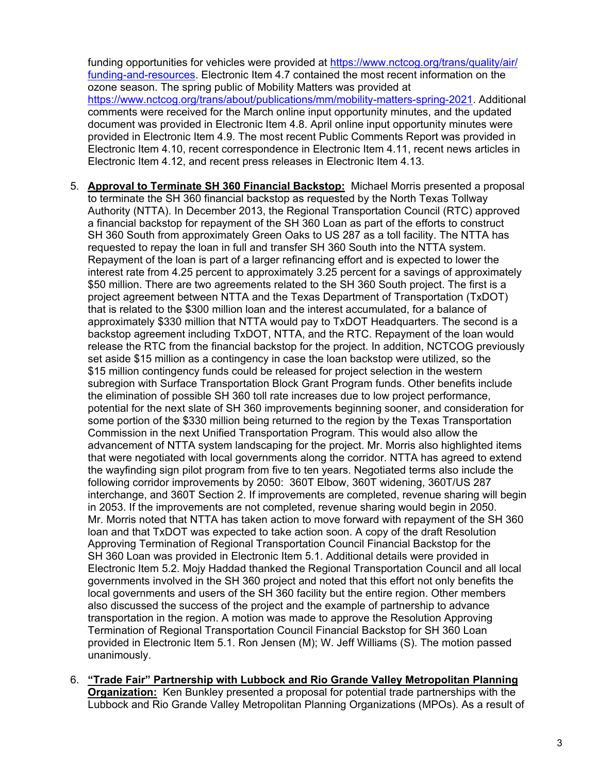funding opportunities for vehicles were provided at [https://www.nctcog.org/trans/quality/air/](https://www.nctcog.org/trans/quality/air/funding-and-resources) [funding-and-resources.](https://www.nctcog.org/trans/quality/air/funding-and-resources) Electronic Item 4.7 contained the most recent information on the ozone season. The spring public of Mobility Matters was provided at [https://www.nctcog.org/trans/about/publications/mm/mobility-matters-spring-2021.](https://www.nctcog.org/trans/about/publications/mm/mobility-matters-spring-2021) Additional comments were received for the March online input opportunity minutes, and the updated document was provided in Electronic Item 4.8. April online input opportunity minutes were provided in Electronic Item 4.9. The most recent Public Comments Report was provided in Electronic Item 4.10, recent correspondence in Electronic Item 4.11, recent news articles in Electronic Item 4.12, and recent press releases in Electronic Item 4.13.

- 5. **Approval to Terminate SH 360 Financial Backstop:** Michael Morris presented a proposal to terminate the SH 360 financial backstop as requested by the North Texas Tollway Authority (NTTA). In December 2013, the Regional Transportation Council (RTC) approved a financial backstop for repayment of the SH 360 Loan as part of the efforts to construct SH 360 South from approximately Green Oaks to US 287 as a toll facility. The NTTA has requested to repay the loan in full and transfer SH 360 South into the NTTA system. Repayment of the loan is part of a larger refinancing effort and is expected to lower the interest rate from 4.25 percent to approximately 3.25 percent for a savings of approximately \$50 million. There are two agreements related to the SH 360 South project. The first is a project agreement between NTTA and the Texas Department of Transportation (TxDOT) that is related to the \$300 million loan and the interest accumulated, for a balance of approximately \$330 million that NTTA would pay to TxDOT Headquarters. The second is a backstop agreement including TxDOT, NTTA, and the RTC. Repayment of the loan would release the RTC from the financial backstop for the project. In addition, NCTCOG previously set aside \$15 million as a contingency in case the loan backstop were utilized, so the \$15 million contingency funds could be released for project selection in the western subregion with Surface Transportation Block Grant Program funds. Other benefits include the elimination of possible SH 360 toll rate increases due to low project performance, potential for the next slate of SH 360 improvements beginning sooner, and consideration for some portion of the \$330 million being returned to the region by the Texas Transportation Commission in the next Unified Transportation Program. This would also allow the advancement of NTTA system landscaping for the project. Mr. Morris also highlighted items that were negotiated with local governments along the corridor. NTTA has agreed to extend the wayfinding sign pilot program from five to ten years. Negotiated terms also include the following corridor improvements by 2050: 360T Elbow, 360T widening, 360T/US 287 interchange, and 360T Section 2. If improvements are completed, revenue sharing will begin in 2053. If the improvements are not completed, revenue sharing would begin in 2050. Mr. Morris noted that NTTA has taken action to move forward with repayment of the SH 360 loan and that TxDOT was expected to take action soon. A copy of the draft Resolution Approving Termination of Regional Transportation Council Financial Backstop for the SH 360 Loan was provided in Electronic Item 5.1. Additional details were provided in Electronic Item 5.2. Mojy Haddad thanked the Regional Transportation Council and all local governments involved in the SH 360 project and noted that this effort not only benefits the local governments and users of the SH 360 facility but the entire region. Other members also discussed the success of the project and the example of partnership to advance transportation in the region. A motion was made to approve the Resolution Approving Termination of Regional Transportation Council Financial Backstop for SH 360 Loan provided in Electronic Item 5.1. Ron Jensen (M); W. Jeff Williams (S). The motion passed unanimously.
- 6. **"Trade Fair" Partnership with Lubbock and Rio Grande Valley Metropolitan Planning Organization:** Ken Bunkley presented a proposal for potential trade partnerships with the Lubbock and Rio Grande Valley Metropolitan Planning Organizations (MPOs). As a result of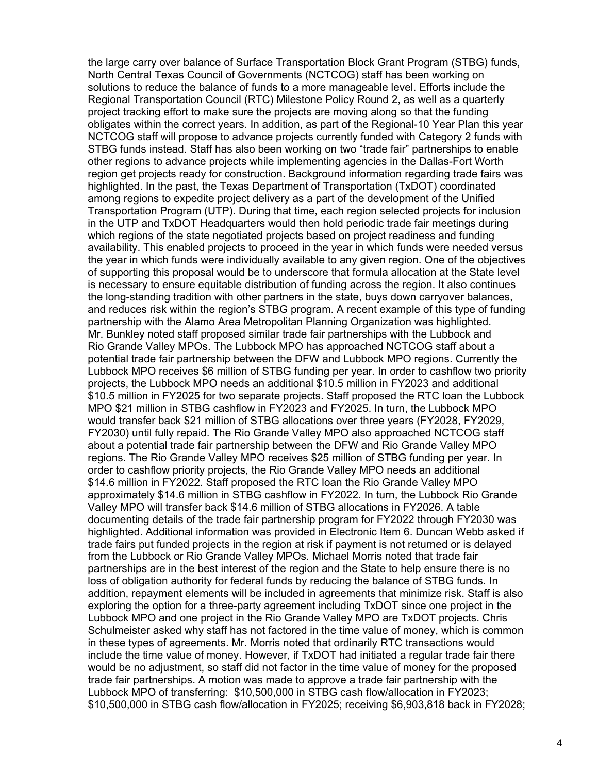the large carry over balance of Surface Transportation Block Grant Program (STBG) funds, North Central Texas Council of Governments (NCTCOG) staff has been working on solutions to reduce the balance of funds to a more manageable level. Efforts include the Regional Transportation Council (RTC) Milestone Policy Round 2, as well as a quarterly project tracking effort to make sure the projects are moving along so that the funding obligates within the correct years. In addition, as part of the Regional-10 Year Plan this year NCTCOG staff will propose to advance projects currently funded with Category 2 funds with STBG funds instead. Staff has also been working on two "trade fair" partnerships to enable other regions to advance projects while implementing agencies in the Dallas-Fort Worth region get projects ready for construction. Background information regarding trade fairs was highlighted. In the past, the Texas Department of Transportation (TxDOT) coordinated among regions to expedite project delivery as a part of the development of the Unified Transportation Program (UTP). During that time, each region selected projects for inclusion in the UTP and TxDOT Headquarters would then hold periodic trade fair meetings during which regions of the state negotiated projects based on project readiness and funding availability. This enabled projects to proceed in the year in which funds were needed versus the year in which funds were individually available to any given region. One of the objectives of supporting this proposal would be to underscore that formula allocation at the State level is necessary to ensure equitable distribution of funding across the region. It also continues the long-standing tradition with other partners in the state, buys down carryover balances, and reduces risk within the region's STBG program. A recent example of this type of funding partnership with the Alamo Area Metropolitan Planning Organization was highlighted. Mr. Bunkley noted staff proposed similar trade fair partnerships with the Lubbock and Rio Grande Valley MPOs. The Lubbock MPO has approached NCTCOG staff about a potential trade fair partnership between the DFW and Lubbock MPO regions. Currently the Lubbock MPO receives \$6 million of STBG funding per year. In order to cashflow two priority projects, the Lubbock MPO needs an additional \$10.5 million in FY2023 and additional \$10.5 million in FY2025 for two separate projects. Staff proposed the RTC loan the Lubbock MPO \$21 million in STBG cashflow in FY2023 and FY2025. In turn, the Lubbock MPO would transfer back \$21 million of STBG allocations over three years (FY2028, FY2029, FY2030) until fully repaid. The Rio Grande Valley MPO also approached NCTCOG staff about a potential trade fair partnership between the DFW and Rio Grande Valley MPO regions. The Rio Grande Valley MPO receives \$25 million of STBG funding per year. In order to cashflow priority projects, the Rio Grande Valley MPO needs an additional \$14.6 million in FY2022. Staff proposed the RTC loan the Rio Grande Valley MPO approximately \$14.6 million in STBG cashflow in FY2022. In turn, the Lubbock Rio Grande Valley MPO will transfer back \$14.6 million of STBG allocations in FY2026. A table documenting details of the trade fair partnership program for FY2022 through FY2030 was highlighted. Additional information was provided in Electronic Item 6. Duncan Webb asked if trade fairs put funded projects in the region at risk if payment is not returned or is delayed from the Lubbock or Rio Grande Valley MPOs. Michael Morris noted that trade fair partnerships are in the best interest of the region and the State to help ensure there is no loss of obligation authority for federal funds by reducing the balance of STBG funds. In addition, repayment elements will be included in agreements that minimize risk. Staff is also exploring the option for a three-party agreement including TxDOT since one project in the Lubbock MPO and one project in the Rio Grande Valley MPO are TxDOT projects. Chris Schulmeister asked why staff has not factored in the time value of money, which is common in these types of agreements. Mr. Morris noted that ordinarily RTC transactions would include the time value of money. However, if TxDOT had initiated a regular trade fair there would be no adjustment, so staff did not factor in the time value of money for the proposed trade fair partnerships. A motion was made to approve a trade fair partnership with the Lubbock MPO of transferring: \$10,500,000 in STBG cash flow/allocation in FY2023; \$10,500,000 in STBG cash flow/allocation in FY2025; receiving \$6,903,818 back in FY2028;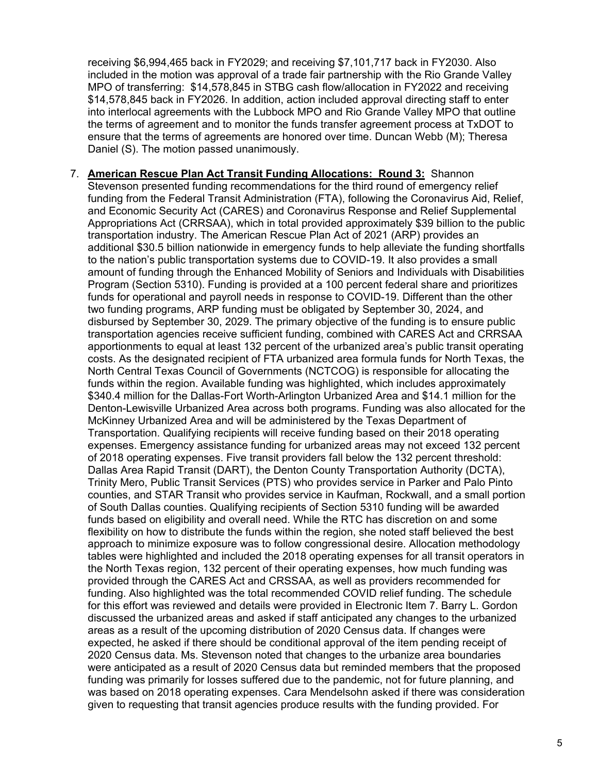receiving \$6,994,465 back in FY2029; and receiving \$7,101,717 back in FY2030. Also included in the motion was approval of a trade fair partnership with the Rio Grande Valley MPO of transferring: \$14,578,845 in STBG cash flow/allocation in FY2022 and receiving \$14,578,845 back in FY2026. In addition, action included approval directing staff to enter into interlocal agreements with the Lubbock MPO and Rio Grande Valley MPO that outline the terms of agreement and to monitor the funds transfer agreement process at TxDOT to ensure that the terms of agreements are honored over time. Duncan Webb (M); Theresa Daniel (S). The motion passed unanimously.

7. **American Rescue Plan Act Transit Funding Allocations: Round 3:** Shannon Stevenson presented funding recommendations for the third round of emergency relief funding from the Federal Transit Administration (FTA), following the Coronavirus Aid, Relief, and Economic Security Act (CARES) and Coronavirus Response and Relief Supplemental Appropriations Act (CRRSAA), which in total provided approximately \$39 billion to the public transportation industry. The American Rescue Plan Act of 2021 (ARP) provides an additional \$30.5 billion nationwide in emergency funds to help alleviate the funding shortfalls to the nation's public transportation systems due to COVID-19. It also provides a small amount of funding through the Enhanced Mobility of Seniors and Individuals with Disabilities Program (Section 5310). Funding is provided at a 100 percent federal share and prioritizes funds for operational and payroll needs in response to COVID-19. Different than the other two funding programs, ARP funding must be obligated by September 30, 2024, and disbursed by September 30, 2029. The primary objective of the funding is to ensure public transportation agencies receive sufficient funding, combined with CARES Act and CRRSAA apportionments to equal at least 132 percent of the urbanized area's public transit operating costs. As the designated recipient of FTA urbanized area formula funds for North Texas, the North Central Texas Council of Governments (NCTCOG) is responsible for allocating the funds within the region. Available funding was highlighted, which includes approximately \$340.4 million for the Dallas-Fort Worth-Arlington Urbanized Area and \$14.1 million for the Denton-Lewisville Urbanized Area across both programs. Funding was also allocated for the McKinney Urbanized Area and will be administered by the Texas Department of Transportation. Qualifying recipients will receive funding based on their 2018 operating expenses. Emergency assistance funding for urbanized areas may not exceed 132 percent of 2018 operating expenses. Five transit providers fall below the 132 percent threshold: Dallas Area Rapid Transit (DART), the Denton County Transportation Authority (DCTA), Trinity Mero, Public Transit Services (PTS) who provides service in Parker and Palo Pinto counties, and STAR Transit who provides service in Kaufman, Rockwall, and a small portion of South Dallas counties. Qualifying recipients of Section 5310 funding will be awarded funds based on eligibility and overall need. While the RTC has discretion on and some flexibility on how to distribute the funds within the region, she noted staff believed the best approach to minimize exposure was to follow congressional desire. Allocation methodology tables were highlighted and included the 2018 operating expenses for all transit operators in the North Texas region, 132 percent of their operating expenses, how much funding was provided through the CARES Act and CRSSAA, as well as providers recommended for funding. Also highlighted was the total recommended COVID relief funding. The schedule for this effort was reviewed and details were provided in Electronic Item 7. Barry L. Gordon discussed the urbanized areas and asked if staff anticipated any changes to the urbanized areas as a result of the upcoming distribution of 2020 Census data. If changes were expected, he asked if there should be conditional approval of the item pending receipt of 2020 Census data. Ms. Stevenson noted that changes to the urbanize area boundaries were anticipated as a result of 2020 Census data but reminded members that the proposed funding was primarily for losses suffered due to the pandemic, not for future planning, and was based on 2018 operating expenses. Cara Mendelsohn asked if there was consideration given to requesting that transit agencies produce results with the funding provided. For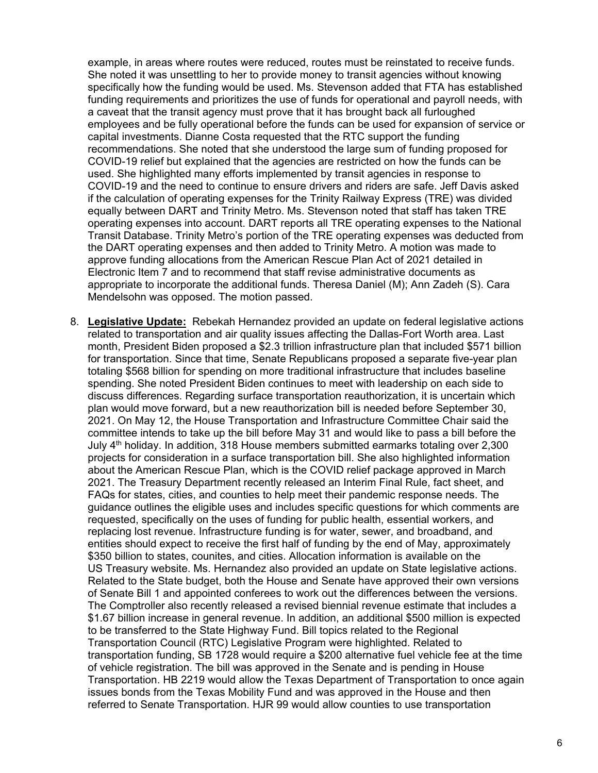example, in areas where routes were reduced, routes must be reinstated to receive funds. She noted it was unsettling to her to provide money to transit agencies without knowing specifically how the funding would be used. Ms. Stevenson added that FTA has established funding requirements and prioritizes the use of funds for operational and payroll needs, with a caveat that the transit agency must prove that it has brought back all furloughed employees and be fully operational before the funds can be used for expansion of service or capital investments. Dianne Costa requested that the RTC support the funding recommendations. She noted that she understood the large sum of funding proposed for COVID-19 relief but explained that the agencies are restricted on how the funds can be used. She highlighted many efforts implemented by transit agencies in response to COVID-19 and the need to continue to ensure drivers and riders are safe. Jeff Davis asked if the calculation of operating expenses for the Trinity Railway Express (TRE) was divided equally between DART and Trinity Metro. Ms. Stevenson noted that staff has taken TRE operating expenses into account. DART reports all TRE operating expenses to the National Transit Database. Trinity Metro's portion of the TRE operating expenses was deducted from the DART operating expenses and then added to Trinity Metro. A motion was made to approve funding allocations from the American Rescue Plan Act of 2021 detailed in Electronic Item 7 and to recommend that staff revise administrative documents as appropriate to incorporate the additional funds. Theresa Daniel (M); Ann Zadeh (S). Cara Mendelsohn was opposed. The motion passed.

8. **Legislative Update:** Rebekah Hernandez provided an update on federal legislative actions related to transportation and air quality issues affecting the Dallas-Fort Worth area. Last month, President Biden proposed a \$2.3 trillion infrastructure plan that included \$571 billion for transportation. Since that time, Senate Republicans proposed a separate five-year plan totaling \$568 billion for spending on more traditional infrastructure that includes baseline spending. She noted President Biden continues to meet with leadership on each side to discuss differences. Regarding surface transportation reauthorization, it is uncertain which plan would move forward, but a new reauthorization bill is needed before September 30, 2021. On May 12, the House Transportation and Infrastructure Committee Chair said the committee intends to take up the bill before May 31 and would like to pass a bill before the July 4th holiday. In addition, 318 House members submitted earmarks totaling over 2,300 projects for consideration in a surface transportation bill. She also highlighted information about the American Rescue Plan, which is the COVID relief package approved in March 2021. The Treasury Department recently released an Interim Final Rule, fact sheet, and FAQs for states, cities, and counties to help meet their pandemic response needs. The guidance outlines the eligible uses and includes specific questions for which comments are requested, specifically on the uses of funding for public health, essential workers, and replacing lost revenue. Infrastructure funding is for water, sewer, and broadband, and entities should expect to receive the first half of funding by the end of May, approximately \$350 billion to states, counites, and cities. Allocation information is available on the US Treasury website. Ms. Hernandez also provided an update on State legislative actions. Related to the State budget, both the House and Senate have approved their own versions of Senate Bill 1 and appointed conferees to work out the differences between the versions. The Comptroller also recently released a revised biennial revenue estimate that includes a \$1.67 billion increase in general revenue. In addition, an additional \$500 million is expected to be transferred to the State Highway Fund. Bill topics related to the Regional Transportation Council (RTC) Legislative Program were highlighted. Related to transportation funding, SB 1728 would require a \$200 alternative fuel vehicle fee at the time of vehicle registration. The bill was approved in the Senate and is pending in House Transportation. HB 2219 would allow the Texas Department of Transportation to once again issues bonds from the Texas Mobility Fund and was approved in the House and then referred to Senate Transportation. HJR 99 would allow counties to use transportation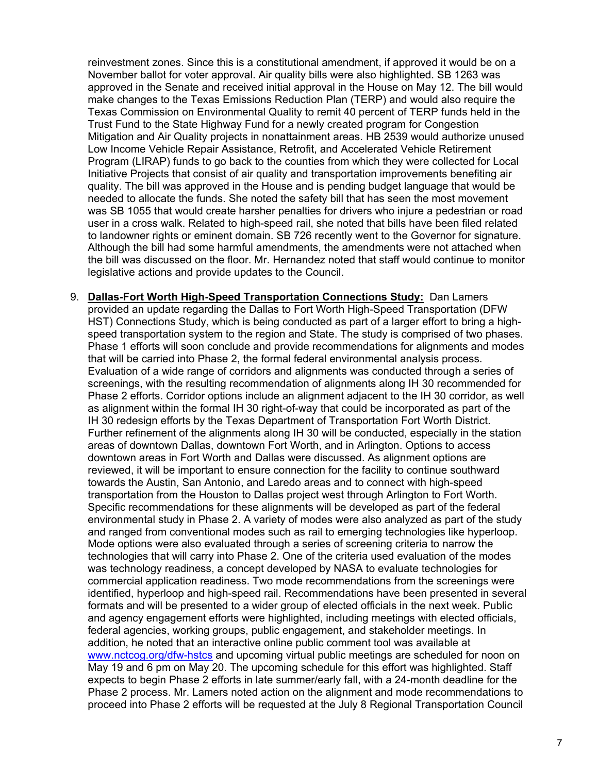reinvestment zones. Since this is a constitutional amendment, if approved it would be on a November ballot for voter approval. Air quality bills were also highlighted. SB 1263 was approved in the Senate and received initial approval in the House on May 12. The bill would make changes to the Texas Emissions Reduction Plan (TERP) and would also require the Texas Commission on Environmental Quality to remit 40 percent of TERP funds held in the Trust Fund to the State Highway Fund for a newly created program for Congestion Mitigation and Air Quality projects in nonattainment areas. HB 2539 would authorize unused Low Income Vehicle Repair Assistance, Retrofit, and Accelerated Vehicle Retirement Program (LIRAP) funds to go back to the counties from which they were collected for Local Initiative Projects that consist of air quality and transportation improvements benefiting air quality. The bill was approved in the House and is pending budget language that would be needed to allocate the funds. She noted the safety bill that has seen the most movement was SB 1055 that would create harsher penalties for drivers who injure a pedestrian or road user in a cross walk. Related to high-speed rail, she noted that bills have been filed related to landowner rights or eminent domain. SB 726 recently went to the Governor for signature. Although the bill had some harmful amendments, the amendments were not attached when the bill was discussed on the floor. Mr. Hernandez noted that staff would continue to monitor legislative actions and provide updates to the Council.

9. **Dallas-Fort Worth High-Speed Transportation Connections Study:** Dan Lamers provided an update regarding the Dallas to Fort Worth High-Speed Transportation (DFW HST) Connections Study, which is being conducted as part of a larger effort to bring a highspeed transportation system to the region and State. The study is comprised of two phases. Phase 1 efforts will soon conclude and provide recommendations for alignments and modes that will be carried into Phase 2, the formal federal environmental analysis process. Evaluation of a wide range of corridors and alignments was conducted through a series of screenings, with the resulting recommendation of alignments along IH 30 recommended for Phase 2 efforts. Corridor options include an alignment adjacent to the IH 30 corridor, as well as alignment within the formal IH 30 right-of-way that could be incorporated as part of the IH 30 redesign efforts by the Texas Department of Transportation Fort Worth District. Further refinement of the alignments along IH 30 will be conducted, especially in the station areas of downtown Dallas, downtown Fort Worth, and in Arlington. Options to access downtown areas in Fort Worth and Dallas were discussed. As alignment options are reviewed, it will be important to ensure connection for the facility to continue southward towards the Austin, San Antonio, and Laredo areas and to connect with high-speed transportation from the Houston to Dallas project west through Arlington to Fort Worth. Specific recommendations for these alignments will be developed as part of the federal environmental study in Phase 2. A variety of modes were also analyzed as part of the study and ranged from conventional modes such as rail to emerging technologies like hyperloop. Mode options were also evaluated through a series of screening criteria to narrow the technologies that will carry into Phase 2. One of the criteria used evaluation of the modes was technology readiness, a concept developed by NASA to evaluate technologies for commercial application readiness. Two mode recommendations from the screenings were identified, hyperloop and high-speed rail. Recommendations have been presented in several formats and will be presented to a wider group of elected officials in the next week. Public and agency engagement efforts were highlighted, including meetings with elected officials, federal agencies, working groups, public engagement, and stakeholder meetings. In addition, he noted that an interactive online public comment tool was available at [www.nctcog.org/dfw-hstcs](http://www.nctcog.org/dfw-hstcs) and upcoming virtual public meetings are scheduled for noon on May 19 and 6 pm on May 20. The upcoming schedule for this effort was highlighted. Staff expects to begin Phase 2 efforts in late summer/early fall, with a 24-month deadline for the Phase 2 process. Mr. Lamers noted action on the alignment and mode recommendations to proceed into Phase 2 efforts will be requested at the July 8 Regional Transportation Council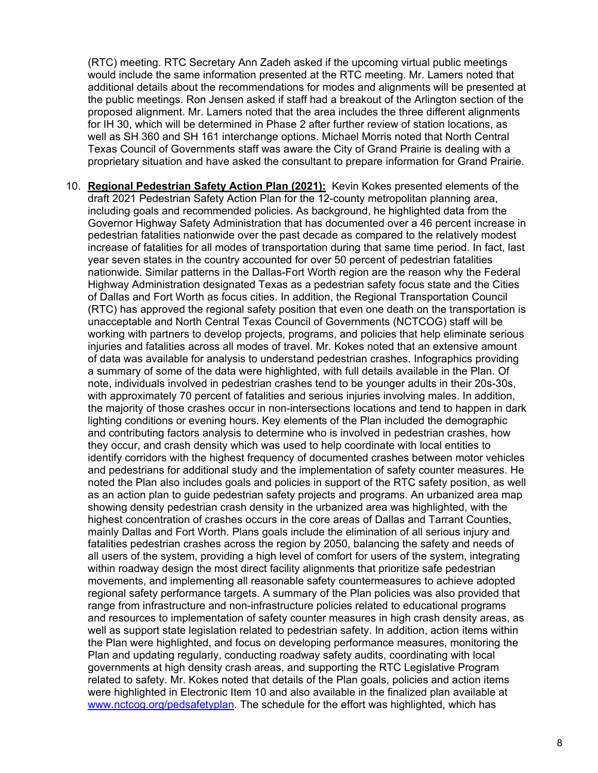(RTC) meeting. RTC Secretary Ann Zadeh asked if the upcoming virtual public meetings would include the same information presented at the RTC meeting. Mr. Lamers noted that additional details about the recommendations for modes and alignments will be presented at the public meetings. Ron Jensen asked if staff had a breakout of the Arlington section of the proposed alignment. Mr. Lamers noted that the area includes the three different alignments for IH 30, which will be determined in Phase 2 after further review of station locations, as well as SH 360 and SH 161 interchange options. Michael Morris noted that North Central Texas Council of Governments staff was aware the City of Grand Prairie is dealing with a proprietary situation and have asked the consultant to prepare information for Grand Prairie.

10. **Regional Pedestrian Safety Action Plan (2021):** Kevin Kokes presented elements of the draft 2021 Pedestrian Safety Action Plan for the 12-county metropolitan planning area, including goals and recommended policies. As background, he highlighted data from the Governor Highway Safety Administration that has documented over a 46 percent increase in pedestrian fatalities nationwide over the past decade as compared to the relatively modest increase of fatalities for all modes of transportation during that same time period. In fact, last year seven states in the country accounted for over 50 percent of pedestrian fatalities nationwide. Similar patterns in the Dallas-Fort Worth region are the reason why the Federal Highway Administration designated Texas as a pedestrian safety focus state and the Cities of Dallas and Fort Worth as focus cities. In addition, the Regional Transportation Council (RTC) has approved the regional safety position that even one death on the transportation is unacceptable and North Central Texas Council of Governments (NCTCOG) staff will be working with partners to develop projects, programs, and policies that help eliminate serious injuries and fatalities across all modes of travel. Mr. Kokes noted that an extensive amount of data was available for analysis to understand pedestrian crashes. Infographics providing a summary of some of the data were highlighted, with full details available in the Plan. Of note, individuals involved in pedestrian crashes tend to be younger adults in their 20s-30s, with approximately 70 percent of fatalities and serious injuries involving males. In addition, the majority of those crashes occur in non-intersections locations and tend to happen in dark lighting conditions or evening hours. Key elements of the Plan included the demographic and contributing factors analysis to determine who is involved in pedestrian crashes, how they occur, and crash density which was used to help coordinate with local entities to identify corridors with the highest frequency of documented crashes between motor vehicles and pedestrians for additional study and the implementation of safety counter measures. He noted the Plan also includes goals and policies in support of the RTC safety position, as well as an action plan to guide pedestrian safety projects and programs. An urbanized area map showing density pedestrian crash density in the urbanized area was highlighted, with the highest concentration of crashes occurs in the core areas of Dallas and Tarrant Counties, mainly Dallas and Fort Worth. Plans goals include the elimination of all serious injury and fatalities pedestrian crashes across the region by 2050, balancing the safety and needs of all users of the system, providing a high level of comfort for users of the system, integrating within roadway design the most direct facility alignments that prioritize safe pedestrian movements, and implementing all reasonable safety countermeasures to achieve adopted regional safety performance targets. A summary of the Plan policies was also provided that range from infrastructure and non-infrastructure policies related to educational programs and resources to implementation of safety counter measures in high crash density areas, as well as support state legislation related to pedestrian safety. In addition, action items within the Plan were highlighted, and focus on developing performance measures, monitoring the Plan and updating regularly, conducting roadway safety audits, coordinating with local governments at high density crash areas, and supporting the RTC Legislative Program related to safety. Mr. Kokes noted that details of the Plan goals, policies and action items were highlighted in Electronic Item 10 and also available in the finalized plan available at [www.nctcog.org/pedsafetyplan.](http://www.nctcog.org/pedsafetyplan) The schedule for the effort was highlighted, which has